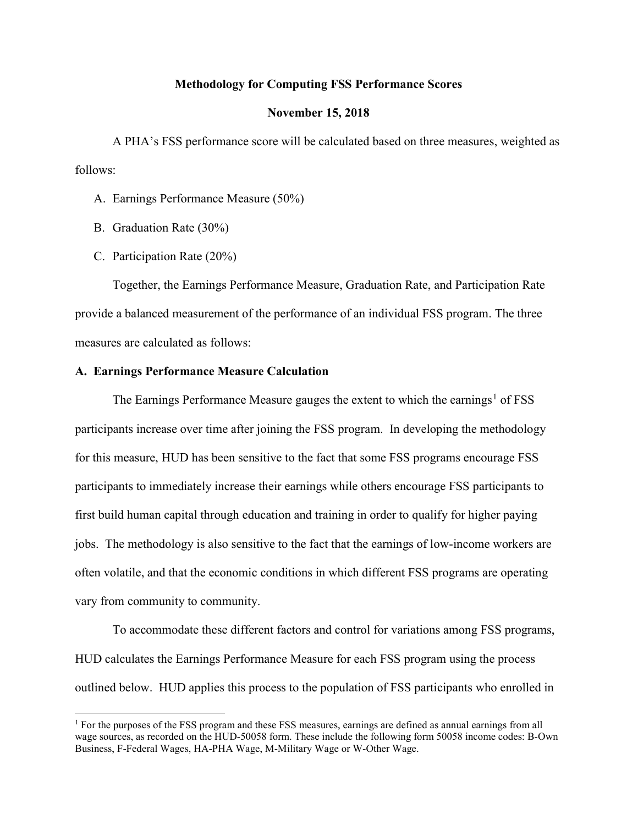### Methodology for Computing FSS Performance Scores

#### November 15, 2018

A PHA's FSS performance score will be calculated based on three measures, weighted as follows:

- A. Earnings Performance Measure (50%)
- B. Graduation Rate (30%)
- C. Participation Rate (20%)

 Together, the Earnings Performance Measure, Graduation Rate, and Participation Rate provide a balanced measurement of the performance of an individual FSS program. The three measures are calculated as follows:

# A. Earnings Performance Measure Calculation

The Earnings Performance Measure gauges the extent to which the earnings<sup>1</sup> of FSS participants increase over time after joining the FSS program. In developing the methodology for this measure, HUD has been sensitive to the fact that some FSS programs encourage FSS participants to immediately increase their earnings while others encourage FSS participants to first build human capital through education and training in order to qualify for higher paying jobs. The methodology is also sensitive to the fact that the earnings of low-income workers are often volatile, and that the economic conditions in which different FSS programs are operating vary from community to community.

To accommodate these different factors and control for variations among FSS programs, HUD calculates the Earnings Performance Measure for each FSS program using the process outlined below. HUD applies this process to the population of FSS participants who enrolled in

<sup>&</sup>lt;sup>1</sup> For the purposes of the FSS program and these FSS measures, earnings are defined as annual earnings from all wage sources, as recorded on the HUD-50058 form. These include the following form 50058 income codes: B-Own Business, F-Federal Wages, HA-PHA Wage, M-Military Wage or W-Other Wage.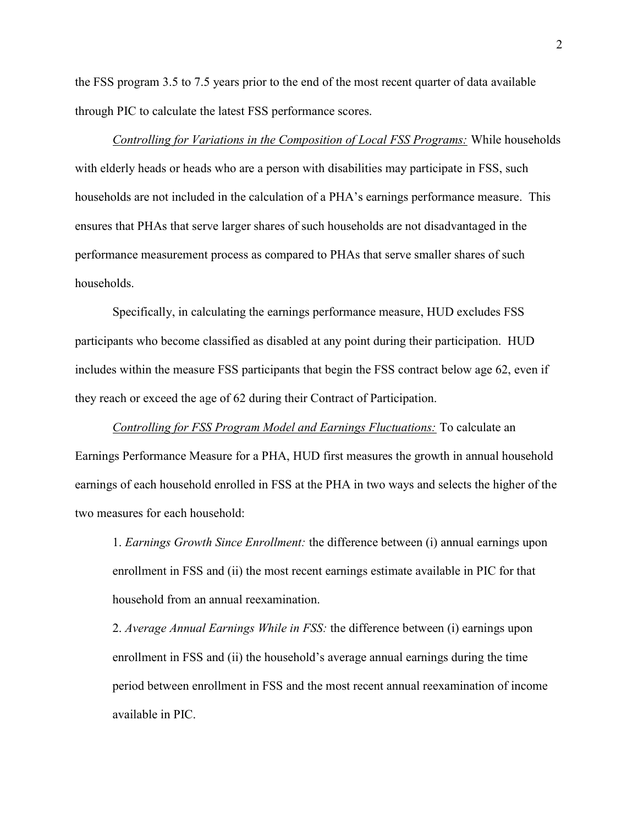the FSS program 3.5 to 7.5 years prior to the end of the most recent quarter of data available through PIC to calculate the latest FSS performance scores.

Controlling for Variations in the Composition of Local FSS Programs: While households with elderly heads or heads who are a person with disabilities may participate in FSS, such households are not included in the calculation of a PHA's earnings performance measure. This ensures that PHAs that serve larger shares of such households are not disadvantaged in the performance measurement process as compared to PHAs that serve smaller shares of such households.

Specifically, in calculating the earnings performance measure, HUD excludes FSS participants who become classified as disabled at any point during their participation. HUD includes within the measure FSS participants that begin the FSS contract below age 62, even if they reach or exceed the age of 62 during their Contract of Participation.

Controlling for FSS Program Model and Earnings Fluctuations: To calculate an Earnings Performance Measure for a PHA, HUD first measures the growth in annual household earnings of each household enrolled in FSS at the PHA in two ways and selects the higher of the two measures for each household:

1. Earnings Growth Since Enrollment: the difference between (i) annual earnings upon enrollment in FSS and (ii) the most recent earnings estimate available in PIC for that household from an annual reexamination.

2. Average Annual Earnings While in FSS: the difference between (i) earnings upon enrollment in FSS and (ii) the household's average annual earnings during the time period between enrollment in FSS and the most recent annual reexamination of income available in PIC.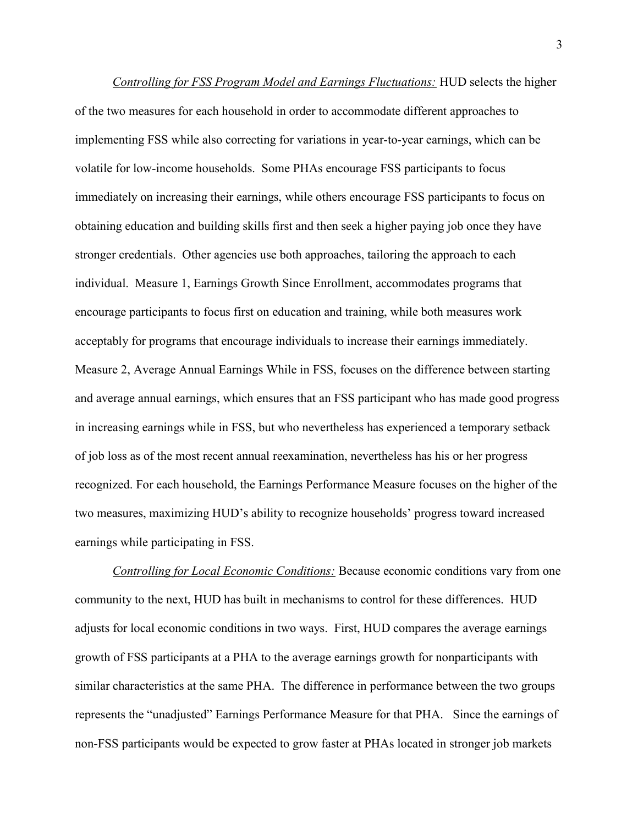Controlling for FSS Program Model and Earnings Fluctuations: HUD selects the higher of the two measures for each household in order to accommodate different approaches to implementing FSS while also correcting for variations in year-to-year earnings, which can be volatile for low-income households. Some PHAs encourage FSS participants to focus immediately on increasing their earnings, while others encourage FSS participants to focus on obtaining education and building skills first and then seek a higher paying job once they have stronger credentials. Other agencies use both approaches, tailoring the approach to each individual. Measure 1, Earnings Growth Since Enrollment, accommodates programs that encourage participants to focus first on education and training, while both measures work acceptably for programs that encourage individuals to increase their earnings immediately. Measure 2, Average Annual Earnings While in FSS, focuses on the difference between starting and average annual earnings, which ensures that an FSS participant who has made good progress in increasing earnings while in FSS, but who nevertheless has experienced a temporary setback of job loss as of the most recent annual reexamination, nevertheless has his or her progress recognized. For each household, the Earnings Performance Measure focuses on the higher of the two measures, maximizing HUD's ability to recognize households' progress toward increased earnings while participating in FSS.

Controlling for Local Economic Conditions: Because economic conditions vary from one community to the next, HUD has built in mechanisms to control for these differences. HUD adjusts for local economic conditions in two ways. First, HUD compares the average earnings growth of FSS participants at a PHA to the average earnings growth for nonparticipants with similar characteristics at the same PHA. The difference in performance between the two groups represents the "unadjusted" Earnings Performance Measure for that PHA. Since the earnings of non-FSS participants would be expected to grow faster at PHAs located in stronger job markets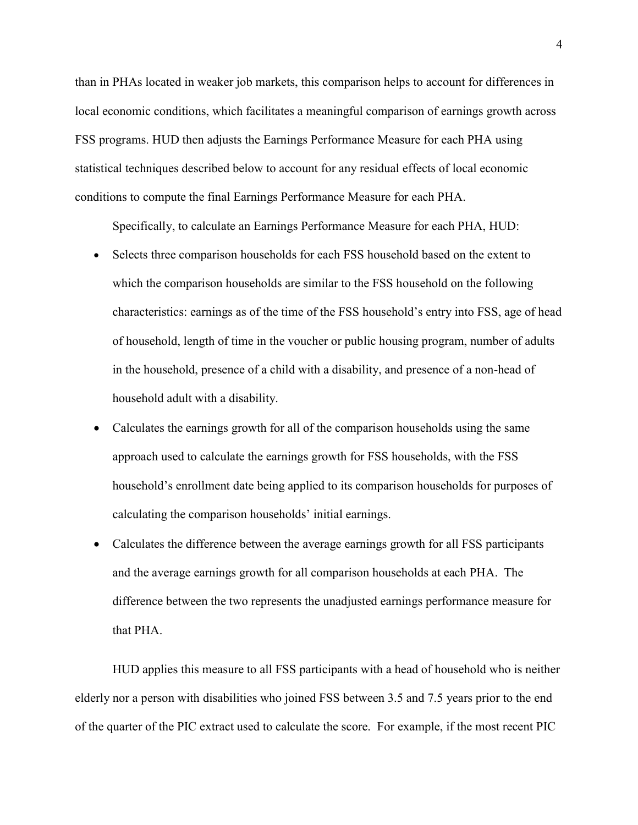than in PHAs located in weaker job markets, this comparison helps to account for differences in local economic conditions, which facilitates a meaningful comparison of earnings growth across FSS programs. HUD then adjusts the Earnings Performance Measure for each PHA using statistical techniques described below to account for any residual effects of local economic conditions to compute the final Earnings Performance Measure for each PHA.

Specifically, to calculate an Earnings Performance Measure for each PHA, HUD:

- Selects three comparison households for each FSS household based on the extent to which the comparison households are similar to the FSS household on the following characteristics: earnings as of the time of the FSS household's entry into FSS, age of head of household, length of time in the voucher or public housing program, number of adults in the household, presence of a child with a disability, and presence of a non-head of household adult with a disability.
- Calculates the earnings growth for all of the comparison households using the same approach used to calculate the earnings growth for FSS households, with the FSS household's enrollment date being applied to its comparison households for purposes of calculating the comparison households' initial earnings.
- Calculates the difference between the average earnings growth for all FSS participants and the average earnings growth for all comparison households at each PHA. The difference between the two represents the unadjusted earnings performance measure for that PHA.

HUD applies this measure to all FSS participants with a head of household who is neither elderly nor a person with disabilities who joined FSS between 3.5 and 7.5 years prior to the end of the quarter of the PIC extract used to calculate the score. For example, if the most recent PIC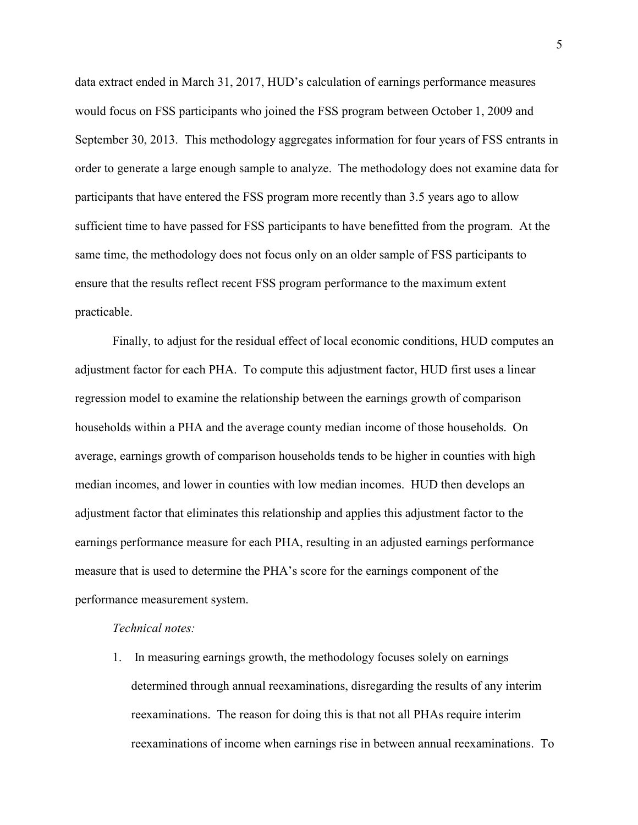data extract ended in March 31, 2017, HUD's calculation of earnings performance measures would focus on FSS participants who joined the FSS program between October 1, 2009 and September 30, 2013. This methodology aggregates information for four years of FSS entrants in order to generate a large enough sample to analyze. The methodology does not examine data for participants that have entered the FSS program more recently than 3.5 years ago to allow sufficient time to have passed for FSS participants to have benefitted from the program. At the same time, the methodology does not focus only on an older sample of FSS participants to ensure that the results reflect recent FSS program performance to the maximum extent practicable.

Finally, to adjust for the residual effect of local economic conditions, HUD computes an adjustment factor for each PHA. To compute this adjustment factor, HUD first uses a linear regression model to examine the relationship between the earnings growth of comparison households within a PHA and the average county median income of those households. On average, earnings growth of comparison households tends to be higher in counties with high median incomes, and lower in counties with low median incomes. HUD then develops an adjustment factor that eliminates this relationship and applies this adjustment factor to the earnings performance measure for each PHA, resulting in an adjusted earnings performance measure that is used to determine the PHA's score for the earnings component of the performance measurement system.

### Technical notes:

1. In measuring earnings growth, the methodology focuses solely on earnings determined through annual reexaminations, disregarding the results of any interim reexaminations. The reason for doing this is that not all PHAs require interim reexaminations of income when earnings rise in between annual reexaminations. To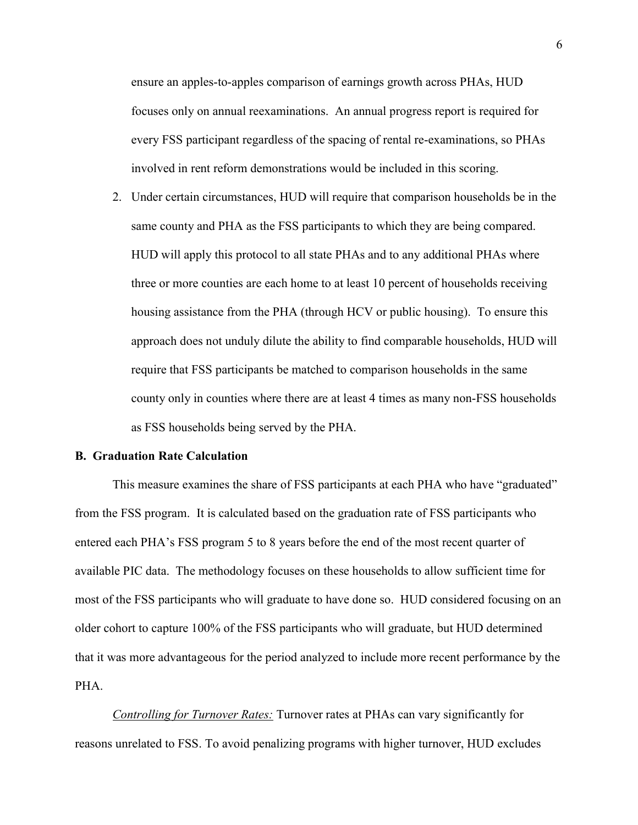ensure an apples-to-apples comparison of earnings growth across PHAs, HUD focuses only on annual reexaminations. An annual progress report is required for every FSS participant regardless of the spacing of rental re-examinations, so PHAs involved in rent reform demonstrations would be included in this scoring.

2. Under certain circumstances, HUD will require that comparison households be in the same county and PHA as the FSS participants to which they are being compared. HUD will apply this protocol to all state PHAs and to any additional PHAs where three or more counties are each home to at least 10 percent of households receiving housing assistance from the PHA (through HCV or public housing). To ensure this approach does not unduly dilute the ability to find comparable households, HUD will require that FSS participants be matched to comparison households in the same county only in counties where there are at least 4 times as many non-FSS households as FSS households being served by the PHA.

#### B. Graduation Rate Calculation

This measure examines the share of FSS participants at each PHA who have "graduated" from the FSS program. It is calculated based on the graduation rate of FSS participants who entered each PHA's FSS program 5 to 8 years before the end of the most recent quarter of available PIC data. The methodology focuses on these households to allow sufficient time for most of the FSS participants who will graduate to have done so. HUD considered focusing on an older cohort to capture 100% of the FSS participants who will graduate, but HUD determined that it was more advantageous for the period analyzed to include more recent performance by the PHA.

Controlling for Turnover Rates: Turnover rates at PHAs can vary significantly for reasons unrelated to FSS. To avoid penalizing programs with higher turnover, HUD excludes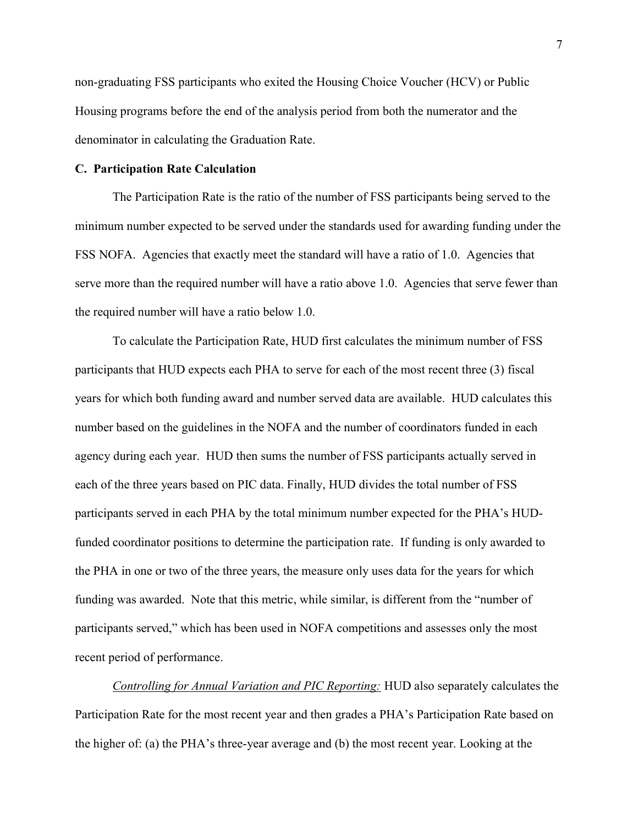non-graduating FSS participants who exited the Housing Choice Voucher (HCV) or Public Housing programs before the end of the analysis period from both the numerator and the denominator in calculating the Graduation Rate.

## C. Participation Rate Calculation

The Participation Rate is the ratio of the number of FSS participants being served to the minimum number expected to be served under the standards used for awarding funding under the FSS NOFA. Agencies that exactly meet the standard will have a ratio of 1.0. Agencies that serve more than the required number will have a ratio above 1.0. Agencies that serve fewer than the required number will have a ratio below 1.0.

To calculate the Participation Rate, HUD first calculates the minimum number of FSS participants that HUD expects each PHA to serve for each of the most recent three (3) fiscal years for which both funding award and number served data are available. HUD calculates this number based on the guidelines in the NOFA and the number of coordinators funded in each agency during each year. HUD then sums the number of FSS participants actually served in each of the three years based on PIC data. Finally, HUD divides the total number of FSS participants served in each PHA by the total minimum number expected for the PHA's HUDfunded coordinator positions to determine the participation rate. If funding is only awarded to the PHA in one or two of the three years, the measure only uses data for the years for which funding was awarded. Note that this metric, while similar, is different from the "number of participants served," which has been used in NOFA competitions and assesses only the most recent period of performance.

Controlling for Annual Variation and PIC Reporting: HUD also separately calculates the Participation Rate for the most recent year and then grades a PHA's Participation Rate based on the higher of: (a) the PHA's three-year average and (b) the most recent year. Looking at the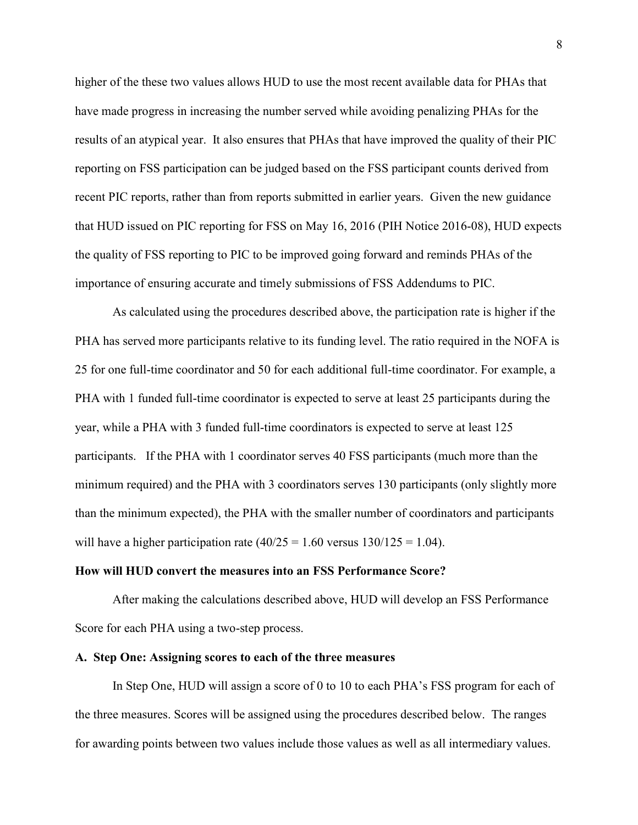higher of the these two values allows HUD to use the most recent available data for PHAs that have made progress in increasing the number served while avoiding penalizing PHAs for the results of an atypical year. It also ensures that PHAs that have improved the quality of their PIC reporting on FSS participation can be judged based on the FSS participant counts derived from recent PIC reports, rather than from reports submitted in earlier years. Given the new guidance that HUD issued on PIC reporting for FSS on May 16, 2016 (PIH Notice 2016-08), HUD expects the quality of FSS reporting to PIC to be improved going forward and reminds PHAs of the importance of ensuring accurate and timely submissions of FSS Addendums to PIC.

As calculated using the procedures described above, the participation rate is higher if the PHA has served more participants relative to its funding level. The ratio required in the NOFA is 25 for one full-time coordinator and 50 for each additional full-time coordinator. For example, a PHA with 1 funded full-time coordinator is expected to serve at least 25 participants during the year, while a PHA with 3 funded full-time coordinators is expected to serve at least 125 participants. If the PHA with 1 coordinator serves 40 FSS participants (much more than the minimum required) and the PHA with 3 coordinators serves 130 participants (only slightly more than the minimum expected), the PHA with the smaller number of coordinators and participants will have a higher participation rate  $(40/25 = 1.60$  versus  $130/125 = 1.04$ ).

### How will HUD convert the measures into an FSS Performance Score?

After making the calculations described above, HUD will develop an FSS Performance Score for each PHA using a two-step process.

#### A. Step One: Assigning scores to each of the three measures

In Step One, HUD will assign a score of 0 to 10 to each PHA's FSS program for each of the three measures. Scores will be assigned using the procedures described below. The ranges for awarding points between two values include those values as well as all intermediary values.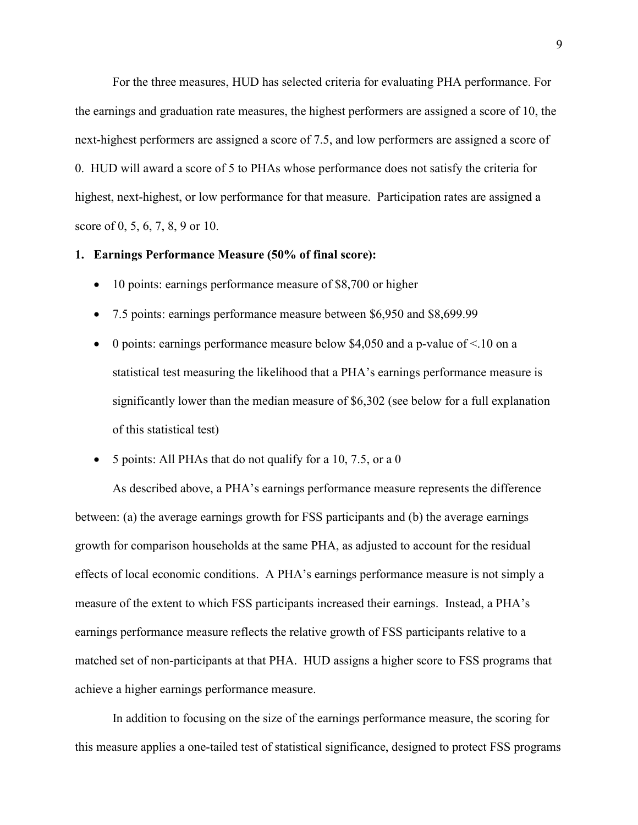For the three measures, HUD has selected criteria for evaluating PHA performance. For the earnings and graduation rate measures, the highest performers are assigned a score of 10, the next-highest performers are assigned a score of 7.5, and low performers are assigned a score of 0. HUD will award a score of 5 to PHAs whose performance does not satisfy the criteria for highest, next-highest, or low performance for that measure. Participation rates are assigned a score of 0, 5, 6, 7, 8, 9 or 10.

#### 1. Earnings Performance Measure (50% of final score):

- 10 points: earnings performance measure of \$8,700 or higher
- 7.5 points: earnings performance measure between \$6,950 and \$8,699.99
- $\bullet$  0 points: earnings performance measure below \$4,050 and a p-value of <.10 on a statistical test measuring the likelihood that a PHA's earnings performance measure is significantly lower than the median measure of \$6,302 (see below for a full explanation of this statistical test)
- $\bullet$  5 points: All PHAs that do not qualify for a 10, 7.5, or a 0

As described above, a PHA's earnings performance measure represents the difference between: (a) the average earnings growth for FSS participants and (b) the average earnings growth for comparison households at the same PHA, as adjusted to account for the residual effects of local economic conditions. A PHA's earnings performance measure is not simply a measure of the extent to which FSS participants increased their earnings. Instead, a PHA's earnings performance measure reflects the relative growth of FSS participants relative to a matched set of non-participants at that PHA. HUD assigns a higher score to FSS programs that achieve a higher earnings performance measure.

In addition to focusing on the size of the earnings performance measure, the scoring for this measure applies a one-tailed test of statistical significance, designed to protect FSS programs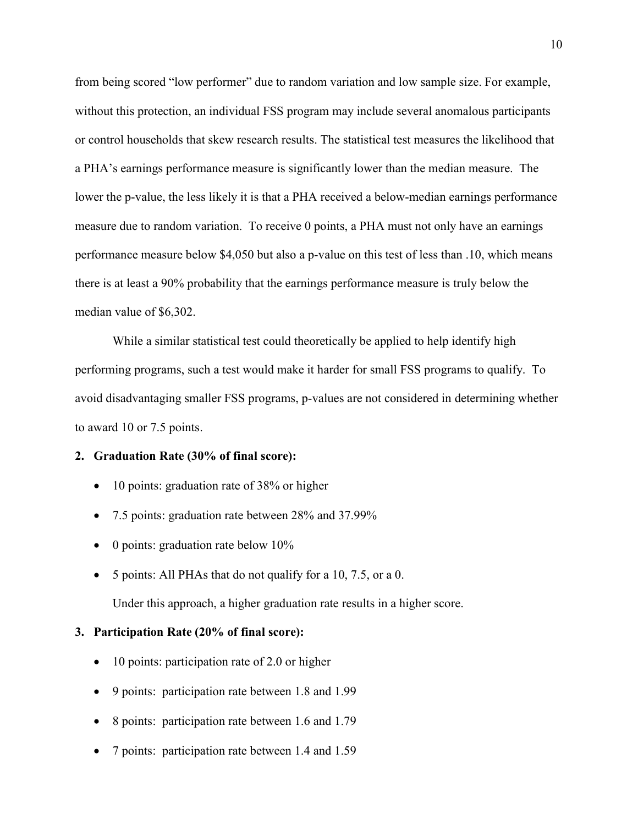from being scored "low performer" due to random variation and low sample size. For example, without this protection, an individual FSS program may include several anomalous participants or control households that skew research results. The statistical test measures the likelihood that a PHA's earnings performance measure is significantly lower than the median measure. The lower the p-value, the less likely it is that a PHA received a below-median earnings performance measure due to random variation. To receive 0 points, a PHA must not only have an earnings performance measure below \$4,050 but also a p-value on this test of less than .10, which means there is at least a 90% probability that the earnings performance measure is truly below the median value of \$6,302.

While a similar statistical test could theoretically be applied to help identify high performing programs, such a test would make it harder for small FSS programs to qualify. To avoid disadvantaging smaller FSS programs, p-values are not considered in determining whether to award 10 or 7.5 points.

## 2. Graduation Rate (30% of final score):

- 10 points: graduation rate of 38% or higher
- 7.5 points: graduation rate between 28% and 37.99%
- $\bullet$  0 points: graduation rate below 10%
- 5 points: All PHAs that do not qualify for a 10, 7.5, or a 0.

Under this approach, a higher graduation rate results in a higher score.

### 3. Participation Rate (20% of final score):

- 10 points: participation rate of 2.0 or higher
- 9 points: participation rate between 1.8 and 1.99
- 8 points: participation rate between 1.6 and 1.79
- 7 points: participation rate between 1.4 and 1.59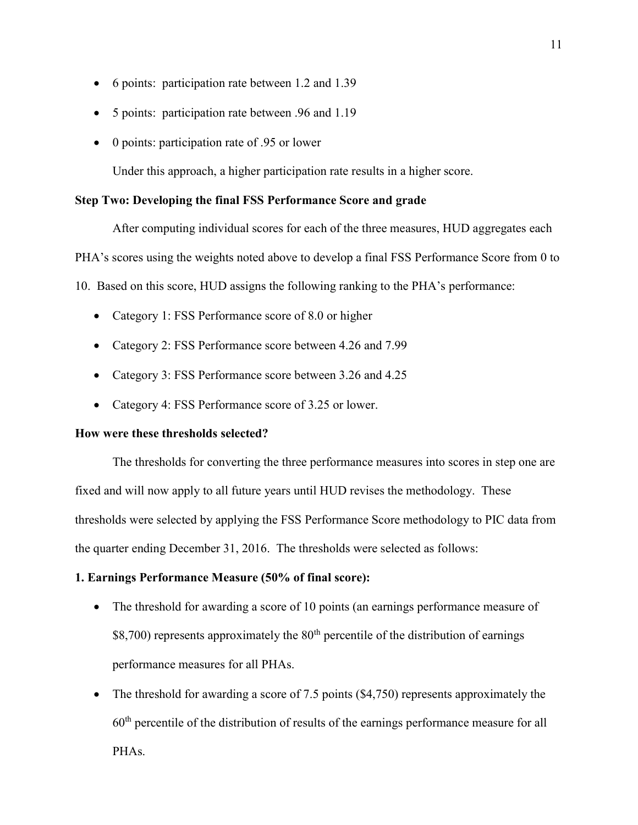- 6 points: participation rate between 1.2 and 1.39
- 5 points: participation rate between .96 and 1.19
- 0 points: participation rate of .95 or lower

Under this approach, a higher participation rate results in a higher score.

# Step Two: Developing the final FSS Performance Score and grade

After computing individual scores for each of the three measures, HUD aggregates each

PHA's scores using the weights noted above to develop a final FSS Performance Score from 0 to

10. Based on this score, HUD assigns the following ranking to the PHA's performance:

- Category 1: FSS Performance score of 8.0 or higher
- Category 2: FSS Performance score between 4.26 and 7.99
- Category 3: FSS Performance score between 3.26 and 4.25
- Category 4: FSS Performance score of 3.25 or lower.

### How were these thresholds selected?

The thresholds for converting the three performance measures into scores in step one are fixed and will now apply to all future years until HUD revises the methodology. These thresholds were selected by applying the FSS Performance Score methodology to PIC data from the quarter ending December 31, 2016. The thresholds were selected as follows:

#### 1. Earnings Performance Measure (50% of final score):

- The threshold for awarding a score of 10 points (an earnings performance measure of  $$8,700$ ) represents approximately the  $80<sup>th</sup>$  percentile of the distribution of earnings performance measures for all PHAs.
- The threshold for awarding a score of 7.5 points (\$4,750) represents approximately the  $60<sup>th</sup>$  percentile of the distribution of results of the earnings performance measure for all PHAs.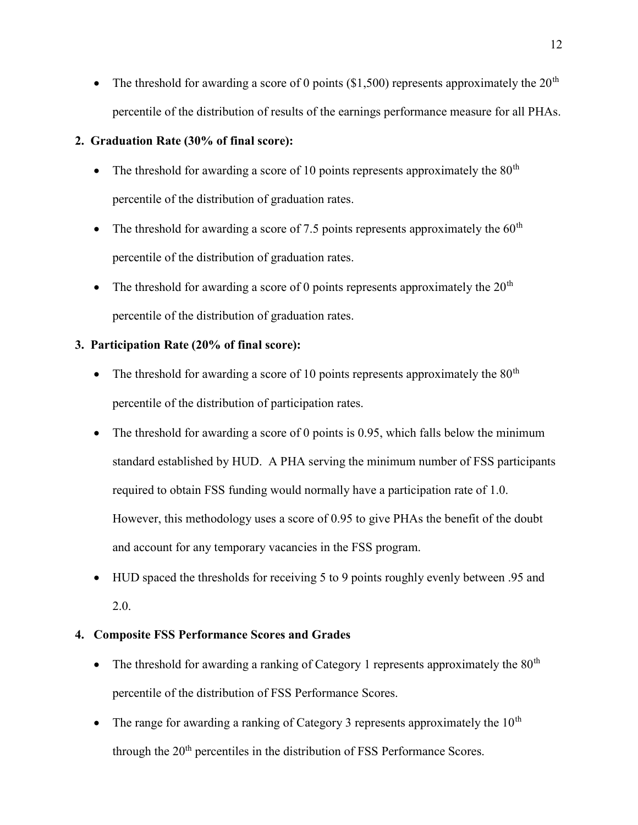• The threshold for awarding a score of 0 points (\$1,500) represents approximately the  $20<sup>th</sup>$ percentile of the distribution of results of the earnings performance measure for all PHAs.

# 2. Graduation Rate (30% of final score):

- The threshold for awarding a score of 10 points represents approximately the  $80<sup>th</sup>$ percentile of the distribution of graduation rates.
- The threshold for awarding a score of 7.5 points represents approximately the  $60<sup>th</sup>$ percentile of the distribution of graduation rates.
- The threshold for awarding a score of 0 points represents approximately the  $20<sup>th</sup>$ percentile of the distribution of graduation rates.

# 3. Participation Rate (20% of final score):

- The threshold for awarding a score of 10 points represents approximately the  $80<sup>th</sup>$ percentile of the distribution of participation rates.
- The threshold for awarding a score of 0 points is  $0.95$ , which falls below the minimum standard established by HUD. A PHA serving the minimum number of FSS participants required to obtain FSS funding would normally have a participation rate of 1.0. However, this methodology uses a score of 0.95 to give PHAs the benefit of the doubt and account for any temporary vacancies in the FSS program.
- HUD spaced the thresholds for receiving 5 to 9 points roughly evenly between .95 and 2.0.

# 4. Composite FSS Performance Scores and Grades

- The threshold for awarding a ranking of Category 1 represents approximately the  $80<sup>th</sup>$ percentile of the distribution of FSS Performance Scores.
- The range for awarding a ranking of Category 3 represents approximately the  $10<sup>th</sup>$ through the 20<sup>th</sup> percentiles in the distribution of FSS Performance Scores.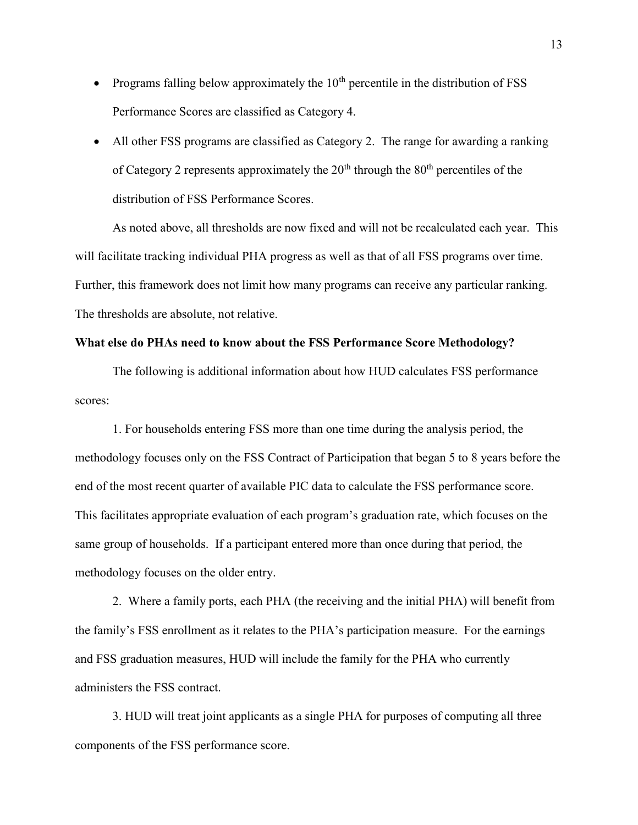- Programs falling below approximately the  $10<sup>th</sup>$  percentile in the distribution of FSS Performance Scores are classified as Category 4.
- All other FSS programs are classified as Category 2. The range for awarding a ranking of Category 2 represents approximately the  $20<sup>th</sup>$  through the  $80<sup>th</sup>$  percentiles of the distribution of FSS Performance Scores.

As noted above, all thresholds are now fixed and will not be recalculated each year. This will facilitate tracking individual PHA progress as well as that of all FSS programs over time. Further, this framework does not limit how many programs can receive any particular ranking. The thresholds are absolute, not relative.

## What else do PHAs need to know about the FSS Performance Score Methodology?

The following is additional information about how HUD calculates FSS performance scores:

1. For households entering FSS more than one time during the analysis period, the methodology focuses only on the FSS Contract of Participation that began 5 to 8 years before the end of the most recent quarter of available PIC data to calculate the FSS performance score. This facilitates appropriate evaluation of each program's graduation rate, which focuses on the same group of households. If a participant entered more than once during that period, the methodology focuses on the older entry.

2. Where a family ports, each PHA (the receiving and the initial PHA) will benefit from the family's FSS enrollment as it relates to the PHA's participation measure. For the earnings and FSS graduation measures, HUD will include the family for the PHA who currently administers the FSS contract.

3. HUD will treat joint applicants as a single PHA for purposes of computing all three components of the FSS performance score.